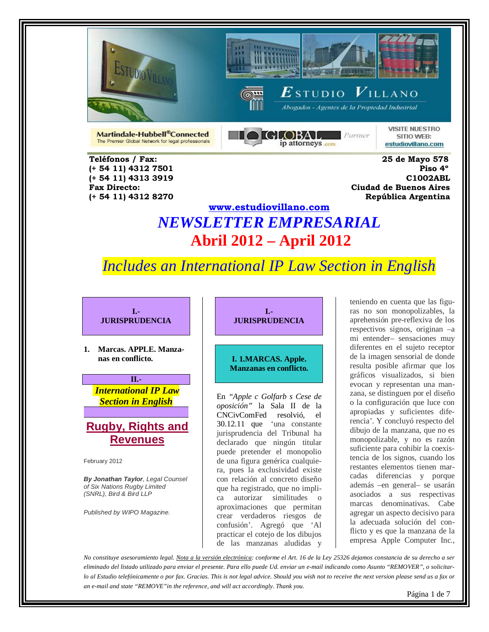

**(+ 54 11) 4312 7501** 

 **(+ 54 11) 4312 8270 República Argentina** 





 $\boldsymbol{E}$ studio  $\boldsymbol{V}$ illano

Abogados - Agentes de la Propiedad Industrial

Martindale-Hubbell®Connected The Premier Global Network for legal professionals DI GLOBAL  $P$ artner ip attorneys com

**VISITE NUESTRO** SITIO WEB: estudiovillano.com

 **Teléfonos / Fax: 25 de Mayo 578 (+ 54 11) 4313 3919 C1002ABL Fax Directo: Ciudad de Buenos Aires**

## **[www.estudiovillano.com](http://www.estudiovillano.com/)** *NEWSLETTER EMPRESARIAL* **Abril 2012 – April 2012**

# *Includes an International IP Law Section in English*

**I.- JURISPRUDENCIA**

**1. Marcas. APPLE. Manzanas en conflicto.**

**II.-** *International IP Law Section in English*

### **Rugby, Rights and Revenues**

February 2012

*By Jonathan Taylor, Legal Counsel of Six Nations Rugby Limited (SNRL), Bird & Bird LLP*

*Published by WIPO Magazine.*

#### **I.- JURISPRUDENCIA**

#### **I. 1.MARCAS. Apple. Manzanas en conflicto.**

En *"Apple c Golfarb s Cese de oposición"* la Sala II de la CNCivComFed resolvió, el 30.12.11 que 'una constante jurisprudencia del Tribunal ha declarado que ningún titular puede pretender el monopolio de una figura genérica cualquiera, pues la exclusividad existe con relación al concreto diseño que ha registrado, que no implica autorizar similitudes o aproximaciones que permitan crear verdaderos riesgos de confusión'. Agregó que 'Al practicar el cotejo de los dibujos de las manzanas aludidas y

teniendo en cuenta que las figuras no son monopolizables, la aprehensión pre-reflexiva de los respectivos signos, originan –a mi entender– sensaciones muy diferentes en el sujeto receptor de la imagen sensorial de donde resulta posible afirmar que los gráficos visualizados, si bien evocan y representan una manzana, se distinguen por el diseño o la configuración que luce con apropiadas y suficientes diferencia'. Y concluyó respecto del dibujo de la manzana, que no es monopolizable, y no es razón suficiente para cohibir la coexistencia de los signos, cuando los restantes elementos tienen marcadas diferencias y porque además –en general– se usarán asociados a sus respectivas marcas denominativas. Cabe agregar un aspecto decisivo para la adecuada solución del conflicto y es que la manzana de la empresa Apple Computer Inc.,

*No constituye asesoramiento legal. Nota a la versión electrónica: conforme el Art. 16 de la Ley 25326 dejamos constancia de su derecho a ser eliminado del listado utilizado para enviar el presente. Para ello puede Ud. enviar un e-mail indicando como Asunto "REMOVER", o solicitarlo al Estudio telefónicamente o por fax. Gracias. This is not legal advice. Should you wish not to receive the next version please send us a fax or an e-mail and state "REMOVE"in the reference, and will act accordingly. Thank you.*

Página 1 de 7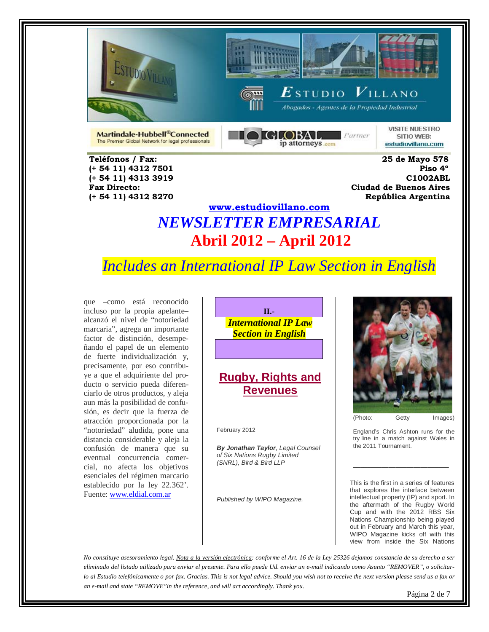





Abogados - Agentes de la Propiedad Industrial

Martindale-Hubbell®Connected The Premier Global Network for legal professionals **DIGLOBAL**  $P$ artner ip attorneys com

**VISITE NUESTRO** SITIO WEB: estudiovillano.com

 **Teléfonos / Fax: 25 de Mayo 578 (+ 54 11) 4312 7501 Piso 4º (+ 54 11) 4313 3919 C1002ABL Fax Directo: Ciudad de Buenos Aires (+ 54 11) 4312 8270 República Argentina** 

# **[www.estudiovillano.com](http://www.estudiovillano.com/)** *NEWSLETTER EMPRESARIAL* **Abril 2012 – April 2012**

# *Includes an International IP Law Section in English*

que –como está reconocido incluso por la propia apelante– alcanzó el nivel de "notoriedad marcaria", agrega un importante factor de distinción, desempeñando el papel de un elemento de fuerte individualización y, precisamente, por eso contribuye a que el adquiriente del producto o servicio pueda diferenciarlo de otros productos, y aleja aun más la posibilidad de confusión, es decir que la fuerza de atracción proporcionada por la "notoriedad" aludida, pone una distancia considerable y aleja la confusión de manera que su eventual concurrencia comercial, no afecta los objetivos esenciales del régimen marcario establecido por la ley 22.362'. Fuente[: www.eldial.com.ar](http://www.eldial.com.ar/)



### **Rugby, Rights and Revenues**

February 2012

*By Jonathan Taylor, Legal Counsel of Six Nations Rugby Limited (SNRL), Bird & Bird LLP*

*Published by WIPO Magazine.*



(Photo: Getty Images)

England's Chris Ashton runs for the try line in a match against Wales in the 2011 Tournament.

\_\_\_\_\_\_\_\_\_\_\_\_\_\_\_\_\_\_\_\_\_\_\_\_\_\_\_

This is the first in a series of features that explores the interface between intellectual property (IP) and sport. In the aftermath of the Rugby World Cup and with the 2012 RBS Six Nations Championship being played out in February and March this year, WIPO Magazine kicks off with this view from inside the Six Nations

*No constituye asesoramiento legal. Nota a la versión electrónica: conforme el Art. 16 de la Ley 25326 dejamos constancia de su derecho a ser eliminado del listado utilizado para enviar el presente. Para ello puede Ud. enviar un e-mail indicando como Asunto "REMOVER", o solicitarlo al Estudio telefónicamente o por fax. Gracias. This is not legal advice. Should you wish not to receive the next version please send us a fax or an e-mail and state "REMOVE"in the reference, and will act accordingly. Thank you.* Página 2 de 7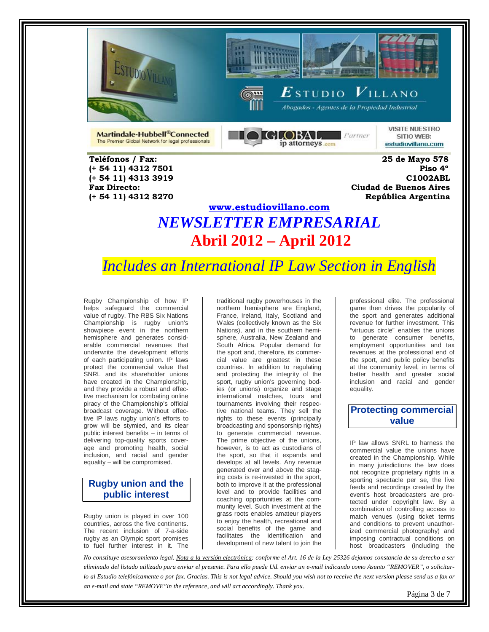





Abogados - Agentes de la Propiedad Industrial

Martindale-Hubbell®Connected The Premier Global Network for legal professionals  $\blacksquare$  GLOBAL  $\blacksquare$  Parmer ip attorneys com

**VISITE NUESTRO** SITIO WEB: estudiovillano.com

 **Teléfonos / Fax: 25 de Mayo 578 (+ 54 11) 4312 7501 Piso 4º (+ 54 11) 4313 3919 C1002ABL Fax Directo: Ciudad de Buenos Aires (+ 54 11) 4312 8270 República Argentina** 

# **[www.estudiovillano.com](http://www.estudiovillano.com/)** *NEWSLETTER EMPRESARIAL* **Abril 2012 – April 2012**

# *Includes an International IP Law Section in English*

Rugby Championship of how IP helps safeguard the commercial value of rugby. The RBS Six Nations Championship is rugby union's showpiece event in the northern hemisphere and generates considerable commercial revenues that underwrite the development efforts of each participating union. IP laws protect the commercial value that SNRL and its shareholder unions have created in the Championship, and they provide a robust and effective mechanism for combating online piracy of the Championship's official broadcast coverage. Without effective IP laws rugby union's efforts to grow will be stymied, and its clear public interest benefits – in terms of delivering top-quality sports coverage and promoting health, social inclusion, and racial and gender equality – will be compromised.

### **Rugby union and the public interest**

Rugby union is played in over 100 countries, across the five continents. The recent inclusion of 7-a-side rugby as an Olympic sport promises to fuel further interest in it. The

traditional rugby powerhouses in the northern hemisphere are England, France, Ireland, Italy, Scotland and Wales (collectively known as the Six Nations), and in the southern hemisphere, Australia, New Zealand and South Africa. Popular demand for the sport and, therefore, its commercial value are greatest in these countries. In addition to regulating and protecting the integrity of the sport, rugby union's governing bodies (or unions) organize and stage international matches, tours and tournaments involving their respective national teams. They sell the rights to these events (principally broadcasting and sponsorship rights) to generate commercial revenue. The prime objective of the unions, however, is to act as custodians of the sport, so that it expands and develops at all levels. Any revenue generated over and above the staging costs is re-invested in the sport, both to improve it at the professional level and to provide facilities and coaching opportunities at the community level. Such investment at the grass roots enables amateur players to enjoy the health, recreational and social benefits of the game and facilitates the identification and development of new talent to join the

professional elite. The professional game then drives the popularity of the sport and generates additional revenue for further investment. This "virtuous circle" enables the unions to generate consumer benefits, employment opportunities and tax revenues at the professional end of the sport, and public policy benefits at the community level, in terms of better health and greater social inclusion and racial and gender equality.

### **Protecting commercial value**

IP law allows SNRL to harness the commercial value the unions have created in the Championship. While in many jurisdictions the law does not recognize proprietary rights in a sporting spectacle per se, the live feeds and recordings created by the event's host broadcasters are protected under copyright law. By a combination of controlling access to match venues (using ticket terms and conditions to prevent unauthorized commercial photography) and imposing contractual conditions on host broadcasters (including the

*No constituye asesoramiento legal. Nota a la versión electrónica: conforme el Art. 16 de la Ley 25326 dejamos constancia de su derecho a ser eliminado del listado utilizado para enviar el presente. Para ello puede Ud. enviar un e-mail indicando como Asunto "REMOVER", o solicitarlo al Estudio telefónicamente o por fax. Gracias. This is not legal advice. Should you wish not to receive the next version please send us a fax or an e-mail and state "REMOVE"in the reference, and will act accordingly. Thank you.*

Página 3 de 7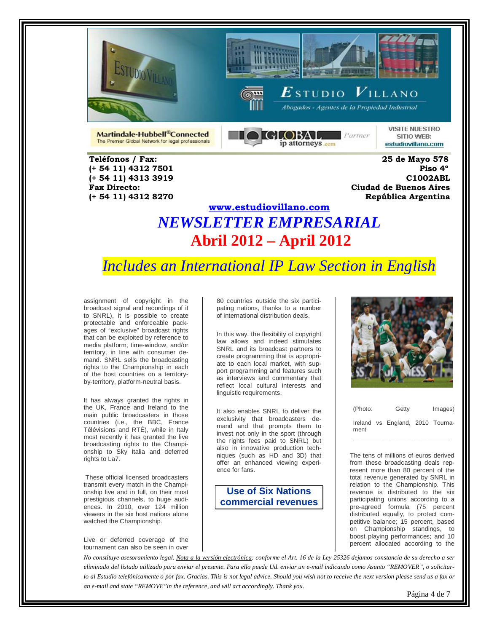

 **(+ 54 11) 4312 8270 República Argentina** 





 $\boldsymbol{E}$ studio  $\boldsymbol{V}$ illano

Abogados - Agentes de la Propiedad Industrial

Martindale-Hubbell®Connected The Premier Global Network for legal professionals  $\bigcap$  GLOBAL, Parmer ip attorneys com

**VISITE NUESTRO** SITIO WEB: estudiovillano.com

 **Teléfonos / Fax: 25 de Mayo 578 (+ 54 11) 4312 7501 Piso 4º (+ 54 11) 4313 3919 C1002ABL Fax Directo: Ciudad de Buenos Aires**

## **[www.estudiovillano.com](http://www.estudiovillano.com/)** *NEWSLETTER EMPRESARIAL* **Abril 2012 – April 2012**

# *Includes an International IP Law Section in English*

assignment of copyright in the broadcast signal and recordings of it to SNRL), it is possible to create protectable and enforceable packages of "exclusive" broadcast rights that can be exploited by reference to media platform, time-window, and/or territory, in line with consumer demand. SNRL sells the broadcasting rights to the Championship in each of the host countries on a territoryby-territory, platform-neutral basis.

It has always granted the rights in the UK, France and Ireland to the main public broadcasters in those countries (i.e., the BBC, France Télévisions and RTÉ), while in Italy most recently it has granted the live broadcasting rights to the Championship to Sky Italia and deferred rights to La7.

These official licensed broadcasters transmit every match in the Championship live and in full, on their most prestigious channels, to huge audiences. In 2010, over 124 million viewers in the six host nations alone watched the Championship.

Live or deferred coverage of the tournament can also be seen in over 80 countries outside the six participating nations, thanks to a number of international distribution deals.

In this way, the flexibility of copyright law allows and indeed stimulates SNRL and its broadcast partners to create programming that is appropriate to each local market, with support programming and features such as interviews and commentary that reflect local cultural interests and linguistic requirements.

It also enables SNRL to deliver the exclusivity that broadcasters demand and that prompts them to invest not only in the sport (through the rights fees paid to SNRL) but also in innovative production techniques (such as HD and 3D) that offer an enhanced viewing experience for fans.

#### **Use of Six Nations commercial revenues**



| (Photo: | Getty                            | Images) |
|---------|----------------------------------|---------|
| ment    | Ireland vs England, 2010 Tourna- |         |

The tens of millions of euros derived from these broadcasting deals represent more than 80 percent of the total revenue generated by SNRL in relation to the Championship. This revenue is distributed to the six participating unions according to a pre-agreed formula (75 percent distributed equally, to protect competitive balance; 15 percent, based on Championship standings, to boost playing performances; and 10 percent allocated according to the

*No constituye asesoramiento legal. Nota a la versión electrónica: conforme el Art. 16 de la Ley 25326 dejamos constancia de su derecho a ser eliminado del listado utilizado para enviar el presente. Para ello puede Ud. enviar un e-mail indicando como Asunto "REMOVER", o solicitarlo al Estudio telefónicamente o por fax. Gracias. This is not legal advice. Should you wish not to receive the next version please send us a fax or an e-mail and state "REMOVE"in the reference, and will act accordingly. Thank you.*

Página 4 de 7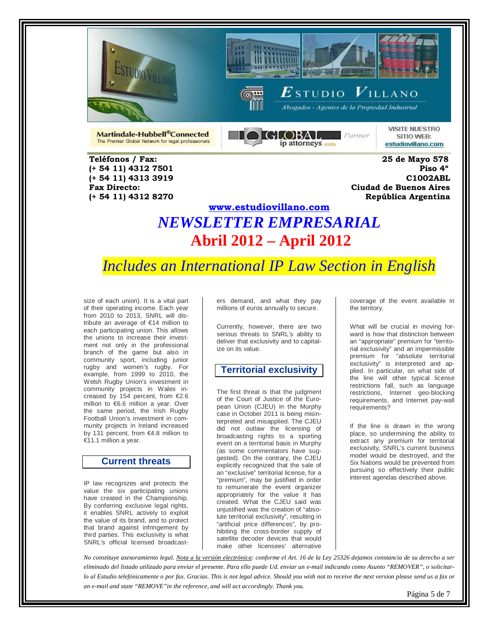





Abogados - Agentes de la Propiedad Industrial

Martindale-Hubbell®Connected The Premier Global Network for legal professionals  $\blacksquare$  GLOBAL  $\blacksquare$  Parmer ip attorneys com

**VISITE NUESTRO** SITIO WEB: estudiovillano.com

 **Teléfonos / Fax: 25 de Mayo 578 (+ 54 11) 4312 7501 Piso 4º (+ 54 11) 4313 3919 C1002ABL Fax Directo: Ciudad de Buenos Aires (+ 54 11) 4312 8270 República Argentina** 

# **[www.estudiovillano.com](http://www.estudiovillano.com/)** *NEWSLETTER EMPRESARIAL* **Abril 2012 – April 2012**

*Includes an International IP Law Section in English* 

size of each union). It is a vital part of their operating income. Each year from 2010 to 2013, SNRL will distribute an average of €14 million to each participating union. This allows the unions to increase their investment not only in the professional branch of the game but also in community sport, including junior rugby and women's rugby. For example, from 1999 to 2010, the Welsh Rugby Union's investment in community projects in Wales increased by 154 percent, from €2.6 million to €6.6 million a year. Over the same period, the Irish Rugby Football Union's investment in community projects in Ireland increased by 131 percent, from €4.8 million to €11.1 million a year.

#### **Current threats**

IP law recognizes and protects the value the six participating unions have created in the Championship. By conferring exclusive legal rights, it enables SNRL actively to exploit the value of its brand, and to protect that brand against infringement by third parties. This exclusivity is what SNRL's official licensed broadcasters demand, and what they pay millions of euros annually to secure.

Currently, however, there are two serious threats to SNRL's ability to deliver that exclusivity and to capitalize on its value.

#### **Territorial exclusivity**

The first threat is that the judgment of the Court of Justice of the European Union (CJEU) in the Murphy case in October 2011 is being misinterpreted and misapplied. The CJEU did not outlaw the licensing of broadcasting rights to a sporting event on a territorial basis in Murphy (as some commentators have suggested). On the contrary, the CJEU explicitly recognized that the sale of an "exclusive" territorial license, for a "premium", may be justified in order to remunerate the event organizer appropriately for the value it has created. What the CJEU said was unjustified was the creation of "absolute territorial exclusivity", resulting in "artificial price differences", by prohibiting the cross-border supply of satellite decoder devices that would make other licensees' alternative

coverage of the event available in the territory.

What will be crucial in moving forward is how that distinction between an "appropriate" premium for "territorial exclusivity" and an impermissible premium for "absolute territorial exclusivity" is interpreted and applied. In particular, on what side of the line will other typical license restrictions fall, such as language restrictions, Internet geo-blocking requirements, and Internet pay-wall requirements?

If the line is drawn in the wrong place, so undermining the ability to extract any premium for territorial exclusivity, SNRL's current business model would be destroyed, and the Six Nations would be prevented from pursuing so effectively their public interest agendas described above.

*No constituye asesoramiento legal. Nota a la versión electrónica: conforme el Art. 16 de la Ley 25326 dejamos constancia de su derecho a ser eliminado del listado utilizado para enviar el presente. Para ello puede Ud. enviar un e-mail indicando como Asunto "REMOVER", o solicitarlo al Estudio telefónicamente o por fax. Gracias. This is not legal advice. Should you wish not to receive the next version please send us a fax or an e-mail and state "REMOVE"in the reference, and will act accordingly. Thank you.*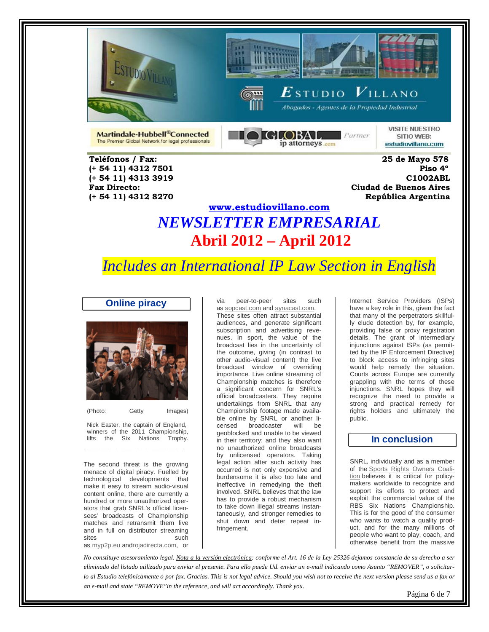





Abogados - Agentes de la Propiedad Industrial

Martindale-Hubbell®Connected The Premier Global Network for legal professionals **DIGLOBAL**  $P$ artner ip attorneys com

**VISITE NUESTRO** SITIO WEB: estudiovillano.com

 **Teléfonos / Fax: 25 de Mayo 578 (+ 54 11) 4312 7501 Piso 4º (+ 54 11) 4313 3919 C1002ABL Fax Directo: Ciudad de Buenos Aires (+ 54 11) 4312 8270 República Argentina** 

# **[www.estudiovillano.com](http://www.estudiovillano.com/)** *NEWSLETTER EMPRESARIAL* **Abril 2012 – April 2012**

# *Includes an International IP Law Section in English*

**Online piracy**



(Photo: Getty Images)

Nick Easter, the captain of England, winners of the 2011 Championship,<br>lifts the Six Nations Trophy. lifts the Six Nations \_\_\_\_\_\_\_\_\_\_\_\_\_\_\_\_\_\_\_\_\_\_\_\_\_\_\_

The second threat is the growing menace of digital piracy. Fuelled by technological developments that make it easy to stream audio-visual content online, there are currently a hundred or more unauthorized operators that grab SNRL's official licensees' broadcasts of Championship matches and retransmit them live and in full on distributor streaming sites such such such

as [myp2p.eu](http://www.myp2p.eu/) an[drojadirecta.com,](http://www.rojadirecta.com/) or

via peer-to-peer sites such as [sopcast.com](http://www.sopcast.com/) and [synacast.com.](http://www.synacast.com/) 

These sites often attract substantial audiences, and generate significant subscription and advertising revenues. In sport, the value of the broadcast lies in the uncertainty of the outcome, giving (in contrast to other audio-visual content) the live broadcast window of overriding importance. Live online streaming of Championship matches is therefore a significant concern for SNRL's official broadcasters. They require undertakings from SNRL that any Championship footage made available online by SNRL or another li-<br>censed broadcaster will be broadcaster will be geoblocked and unable to be viewed in their territory; and they also want no unauthorized online broadcasts by unlicensed operators. Taking legal action after such activity has occurred is not only expensive and burdensome it is also too late and ineffective in remedying the theft involved. SNRL believes that the law has to provide a robust mechanism to take down illegal streams instantaneously, and stronger remedies to shut down and deter repeat infringement.

Internet Service Providers (ISPs) have a key role in this, given the fact that many of the perpetrators skillfully elude detection by, for example, providing false or proxy registration details. The grant of intermediary injunctions against ISPs (as permitted by the IP Enforcement Directive) to block access to infringing sites would help remedy the situation. Courts across Europe are currently grappling with the terms of these injunctions. SNRL hopes they will recognize the need to provide a strong and practical remedy for rights holders and ultimately the public.

### **In conclusion**

SNRL, individually and as a member of the [Sports Rights Owners Coali](http://www.sroc.info/)[tion](http://www.sroc.info/) believes it is critical for policymakers worldwide to recognize and support its efforts to protect and exploit the commercial value of the RBS Six Nations Championship. This is for the good of the consumer who wants to watch a quality product, and for the many millions of people who want to play, coach, and otherwise benefit from the massive

*No constituye asesoramiento legal. Nota a la versión electrónica: conforme el Art. 16 de la Ley 25326 dejamos constancia de su derecho a ser eliminado del listado utilizado para enviar el presente. Para ello puede Ud. enviar un e-mail indicando como Asunto "REMOVER", o solicitarlo al Estudio telefónicamente o por fax. Gracias. This is not legal advice. Should you wish not to receive the next version please send us a fax or an e-mail and state "REMOVE"in the reference, and will act accordingly. Thank you.*

Página 6 de 7